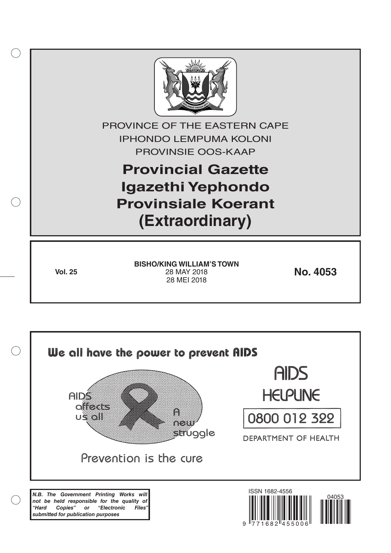

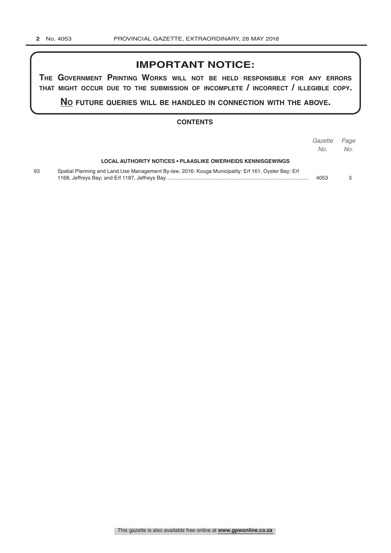# **IMPORTANT NOTICE:**

**The GovernmenT PrinTinG Works Will noT be held resPonsible for any errors ThaT miGhT occur due To The submission of incomPleTe / incorrecT / illeGible coPy.**

**no fuTure queries Will be handled in connecTion WiTh The above.**

#### **CONTENTS**

|    |                                                                                                     | Gazette<br>No. | Page<br>No. |
|----|-----------------------------------------------------------------------------------------------------|----------------|-------------|
|    | LOCAL AUTHORITY NOTICES • PLAASLIKE OWERHEIDS KENNISGEWINGS                                         |                |             |
| 93 | Spatial Planning and Land Use Management By-law, 2016: Kouga Municipality: Erf 161, Oyster Bay; Erf | 4053           |             |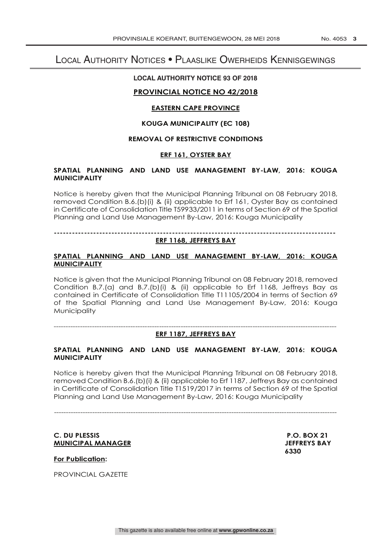# Local Authority Notices • Plaaslike Owerheids Kennisgewings

# **LOCAL AUTHORITY NOTICE 93 OF 2018**

## **PROVINCIAL NOTICE NO 42/2018**

#### **EASTERN CAPE PROVINCE**

#### **KOUGA MUNICIPALITY (EC 108)**

#### **REMOVAL OF RESTRICTIVE CONDITIONS**

#### **ERF 161, OYSTER BAY**

## **SPATIAL PLANNING AND LAND USE MANAGEMENT BY-LAW, 2016: KOUGA MUNICIPALITY**

Notice is hereby given that the Municipal Planning Tribunal on 08 February 2018, removed Condition B.6.(b)(i) & (ii) applicable to Erf 161, Oyster Bay as contained in Certificate of Consolidation Title T59933/2011 in terms of Section 69 of the Spatial Planning and Land Use Management By-Law, 2016: Kouga Municipality

**--------------------------------------------------------------------------------------------- ERF 1168, JEFFREYS BAY**

#### **SPATIAL PLANNING AND LAND USE MANAGEMENT BY-LAW, 2016: KOUGA MUNICIPALITY**

Notice is given that the Municipal Planning Tribunal on 08 February 2018, removed Condition B.7.(a) and B.7.(b)(i) & (ii) applicable to Erf 1168, Jeffreys Bay as contained in Certificate of Consolidation Title T11105/2004 in terms of Section 69 of the Spatial Planning and Land Use Management By-Law, 2016: Kouga **Municipality** 

---------------------------------------------------------------------------------------------------------------------- **ERF 1187, JEFFREYS BAY**

## **SPATIAL PLANNING AND LAND USE MANAGEMENT BY-LAW, 2016: KOUGA MUNICIPALITY**

Notice is hereby given that the Municipal Planning Tribunal on 08 February 2018, removed Condition B.6.(b)(i) & (ii) applicable to Erf 1187, Jeffreys Bay as contained in Certificate of Consolidation Title T1519/2017 in terms of Section 69 of the Spatial Planning and Land Use Management By-Law, 2016: Kouga Municipality

# ----------------------------------------------------------------------------------------------------------------------

#### C. DU PLESSIS<br>
MUNICIPAL MANAGER<br>
MUNICIPAL MANAGER **MUNICIPAL MANAGER**

 **6330**

**For Publication:** 

PROVINCIAL GAZETTE